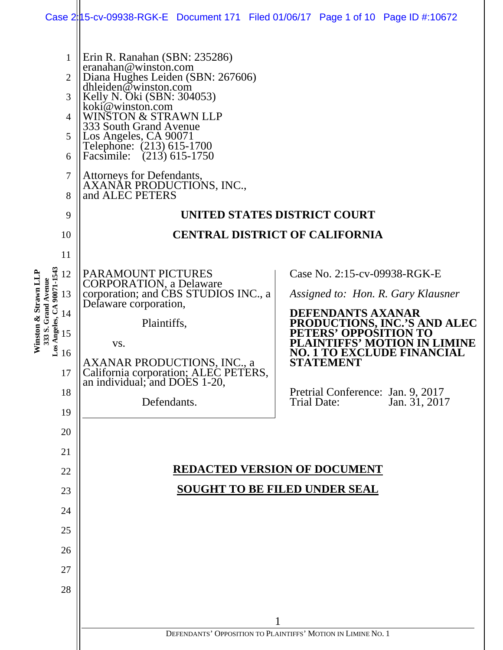|                                                                                                                                 | Case 2: 105-cv-09938-RGK-E Document 171 Filed 01/06/17 Page 1 of 10 Page ID #: 10672                                                                                                                                                                                                                                                                                                              |  |                                                                       |                                                                                                                             |                                                                                                                                                                                               |  |
|---------------------------------------------------------------------------------------------------------------------------------|---------------------------------------------------------------------------------------------------------------------------------------------------------------------------------------------------------------------------------------------------------------------------------------------------------------------------------------------------------------------------------------------------|--|-----------------------------------------------------------------------|-----------------------------------------------------------------------------------------------------------------------------|-----------------------------------------------------------------------------------------------------------------------------------------------------------------------------------------------|--|
| 1<br>$\overline{2}$<br>3<br>4<br>5<br>6<br>7<br>8<br>9<br>10                                                                    | Erin R. Ranahan (SBN: 235286)<br>eranahan@winston.com<br>Diana Hughes Leiden (SBN: 267606)<br>dhleiden@winston.com<br>Kelly N. Oki (SBN: 304053)<br>koki@winston.com<br><b>WINSTON &amp; STRAWN LLP</b><br>333 South Grand Avenue<br>Los Angeles, CA 90071<br>Telephone: (213) 615-1700<br>Facsimile: (213) 615-1750<br>Attorneys for Defendants,<br>AXANAR PRODUCTIONS, INC.,<br>and ALEC PETERS |  | UNITED STATES DISTRICT COURT<br><b>CENTRAL DISTRICT OF CALIFORNIA</b> |                                                                                                                             |                                                                                                                                                                                               |  |
| 11<br>Los Angeles, CA 90071-1543<br>Winston & Strawn LLP<br>12<br>333 S. Grand Avenue<br>13<br>14<br>15<br>16<br>17<br>18<br>19 | <b>PARAMOUNT PICTURES</b><br><b>CORPORATION, a Delaware</b><br>corporation; and CBS STUDIOS INC., a<br>Delaware corporation,<br>Plaintiffs,<br>VS.<br><b>AXANAR PRODUCTIONS, INC., a</b><br>California corporation; ALEC PETERS, an individual; and DOES 1-20,<br>Defendants.                                                                                                                     |  |                                                                       | Case No. 2:15-cv-09938-RGK-E<br><b>DEFENDANTS AXANAR</b><br>PETERS' OPPOSITION TO<br><b>STATEMENT</b><br><b>Trial Date:</b> | Assigned to: Hon. R. Gary Klausner<br>PRODUCTIONS, INC.'S AND ALEC<br>PLAINTIFFS' MOTION IN LIMINE<br><b>NO. 1 TO EXCLUDE FINANCIAL</b><br>Pretrial Conference: Jan. 9, 2017<br>Jan. 31, 2017 |  |
| 20<br>21<br>22<br>23<br>24<br>25<br>26<br>27<br>28                                                                              | <b>REDACTED VERSION OF DOCUMENT</b><br><b>SOUGHT TO BE FILED UNDER SEAL</b>                                                                                                                                                                                                                                                                                                                       |  |                                                                       |                                                                                                                             |                                                                                                                                                                                               |  |
|                                                                                                                                 | DEFENDANTS' OPPOSITION TO PLAINTIFFS' MOTION IN LIMINE NO. 1                                                                                                                                                                                                                                                                                                                                      |  |                                                                       |                                                                                                                             |                                                                                                                                                                                               |  |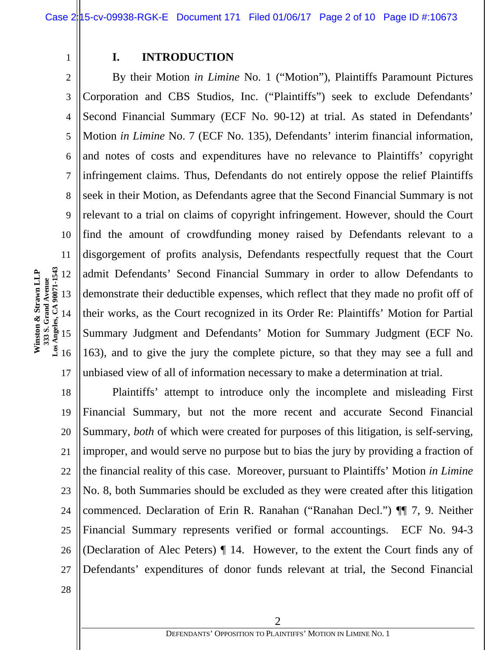1

# **I. INTRODUCTION**

2 3 4 5 6 7 8 9 10 11 17 By their Motion *in Limine* No. 1 ("Motion"), Plaintiffs Paramount Pictures Corporation and CBS Studios, Inc. ("Plaintiffs") seek to exclude Defendants' Second Financial Summary (ECF No. 90-12) at trial. As stated in Defendants' Motion *in Limine* No. 7 (ECF No. 135), Defendants' interim financial information, and notes of costs and expenditures have no relevance to Plaintiffs' copyright infringement claims. Thus, Defendants do not entirely oppose the relief Plaintiffs seek in their Motion, as Defendants agree that the Second Financial Summary is not relevant to a trial on claims of copyright infringement. However, should the Court find the amount of crowdfunding money raised by Defendants relevant to a disgorgement of profits analysis, Defendants respectfully request that the Court admit Defendants' Second Financial Summary in order to allow Defendants to demonstrate their deductible expenses, which reflect that they made no profit off of their works, as the Court recognized in its Order Re: Plaintiffs' Motion for Partial Summary Judgment and Defendants' Motion for Summary Judgment (ECF No. 163), and to give the jury the complete picture, so that they may see a full and unbiased view of all of information necessary to make a determination at trial.

18 19 20 21 22 23 24 25 26 27 Plaintiffs' attempt to introduce only the incomplete and misleading First Financial Summary, but not the more recent and accurate Second Financial Summary, *both* of which were created for purposes of this litigation, is self-serving, improper, and would serve no purpose but to bias the jury by providing a fraction of the financial reality of this case. Moreover, pursuant to Plaintiffs' Motion *in Limine* No. 8, both Summaries should be excluded as they were created after this litigation commenced. Declaration of Erin R. Ranahan ("Ranahan Decl.") ¶¶ 7, 9. Neither Financial Summary represents verified or formal accountings. ECF No. 94-3 (Declaration of Alec Peters) ¶ 14. However, to the extent the Court finds any of Defendants' expenditures of donor funds relevant at trial, the Second Financial

13 14 15 16 **Winston & Strawn LLP 333 S. Grand Avenue Los Angeles, CA 90071-1543** 

12

28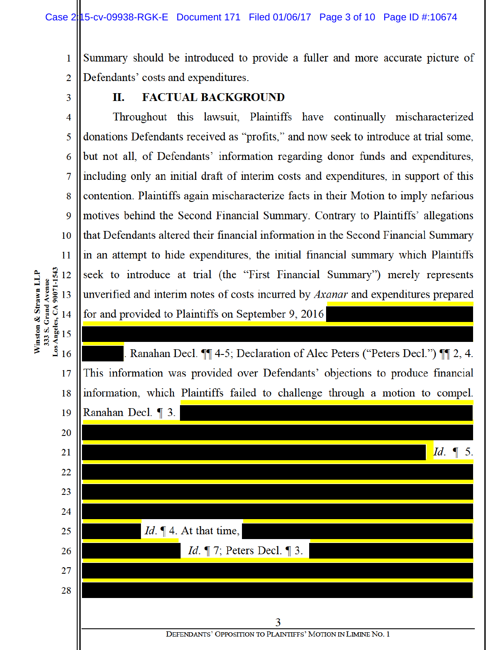Summary should be introduced to provide a fuller and more accurate picture of 1  $\overline{2}$ Defendants' costs and expenditures.

3

4

5

6

7

8

9

10

11

17

18

19

Winston & Strawn LLP

#### **FACTUAL BACKGROUND** П.

Throughout this lawsuit, Plaintiffs have continually mischaracterized donations Defendants received as "profits," and now seek to introduce at trial some, but not all, of Defendants' information regarding donor funds and expenditures, including only an initial draft of interim costs and expenditures, in support of this contention. Plaintiffs again mischaracterize facts in their Motion to imply nefarious motives behind the Second Financial Summary. Contrary to Plaintiffs' allegations that Defendants altered their financial information in the Second Financial Summary in an attempt to hide expenditures, the initial financial summary which Plaintiffs seek to introduce at trial (the "First Financial Summary") merely represents unverified and interim notes of costs incurred by *Axanar* and expenditures prepared for and provided to Plaintiffs on September 9, 2016

**Avenue Avenue**<br>
333 S. Grand Robert 13<br>
13<br>
16<br>
16 Ranahan Decl. ¶ 4-5; Declaration of Alec Peters ("Peters Decl.") ¶ 2, 4. This information was provided over Defendants' objections to produce financial information, which Plaintiffs failed to challenge through a motion to compel. Ranahan Decl. 1 3.



DEFENDANTS' OPPOSITION TO PLAINTIFFS' MOTION IN LIMINE NO. 1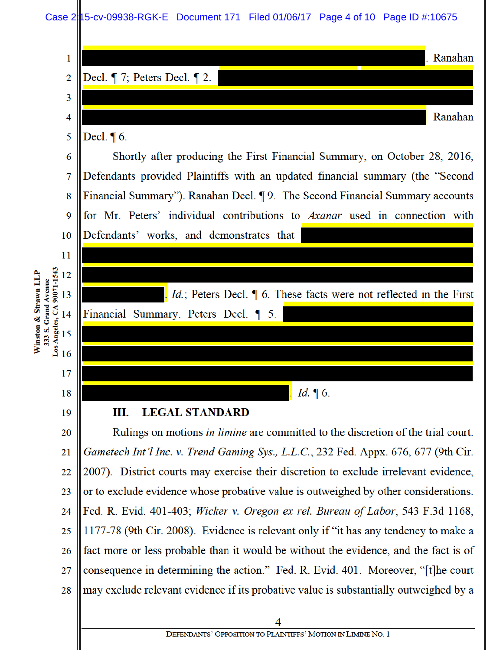Case 2:15-cv-09938-RGK-E Document 171 Filed 01/06/17 Page 4 of 10 Page ID #:10675

| 1                                       | . Ranahan                                                                                                                                                  |  |  |  |  |
|-----------------------------------------|------------------------------------------------------------------------------------------------------------------------------------------------------------|--|--|--|--|
| $\overline{2}$                          | Decl. $\P$ 7; Peters Decl. $\P$ 2.                                                                                                                         |  |  |  |  |
| 3                                       |                                                                                                                                                            |  |  |  |  |
| 4                                       | Ranahan                                                                                                                                                    |  |  |  |  |
| 5                                       | Decl. $\P$ 6.                                                                                                                                              |  |  |  |  |
| 6                                       | Shortly after producing the First Financial Summary, on October 28, 2016,<br>Defendants provided Plaintiffs with an updated financial summary (the "Second |  |  |  |  |
| 7                                       |                                                                                                                                                            |  |  |  |  |
| 8                                       | Financial Summary"). Ranahan Decl. ¶ 9. The Second Financial Summary accounts                                                                              |  |  |  |  |
| 9                                       | for Mr. Peters' individual contributions to Axanar used in connection with                                                                                 |  |  |  |  |
| 10                                      | Defendants' works, and demonstrates that                                                                                                                   |  |  |  |  |
| 11                                      |                                                                                                                                                            |  |  |  |  |
| 90071-1543<br>12                        |                                                                                                                                                            |  |  |  |  |
| Strawn LLP<br>333 S. Grand Avenue<br>13 | $Id$ . Id.; Peters Decl. $\parallel$ 6. These facts were not reflected in the First                                                                        |  |  |  |  |
| Los Angeles, CA<br>14<br>ಳೆ             | Financial Summary. Peters Decl. 1 5.                                                                                                                       |  |  |  |  |
| Winston<br>15                           |                                                                                                                                                            |  |  |  |  |
| 16                                      |                                                                                                                                                            |  |  |  |  |
| 17                                      |                                                                                                                                                            |  |  |  |  |
| 18                                      | Id. $\P$ 6.                                                                                                                                                |  |  |  |  |
| 19                                      | <b>LEGAL STANDARD</b><br>Ш.                                                                                                                                |  |  |  |  |
| 20                                      | Rulings on motions <i>in limine</i> are committed to the discretion of the trial court.                                                                    |  |  |  |  |
| 21                                      | Gametech Int'l Inc. v. Trend Gaming Sys., L.L.C., 232 Fed. Appx. 676, 677 (9th Cir.                                                                        |  |  |  |  |
| 22                                      | 2007). District courts may exercise their discretion to exclude irrelevant evidence,                                                                       |  |  |  |  |
| 23                                      | or to exclude evidence whose probative value is outweighed by other considerations.                                                                        |  |  |  |  |
| 24                                      | Fed. R. Evid. 401-403; Wicker v. Oregon ex rel. Bureau of Labor, 543 F.3d 1168,                                                                            |  |  |  |  |
| 25                                      | 1177-78 (9th Cir. 2008). Evidence is relevant only if "it has any tendency to make a                                                                       |  |  |  |  |
| 26                                      | fact more or less probable than it would be without the evidence, and the fact is of                                                                       |  |  |  |  |
| 27                                      | consequence in determining the action." Fed. R. Evid. 401. Moreover, "[t]he court                                                                          |  |  |  |  |
| 28                                      | may exclude relevant evidence if its probative value is substantially outweighed by a                                                                      |  |  |  |  |
|                                         | 4                                                                                                                                                          |  |  |  |  |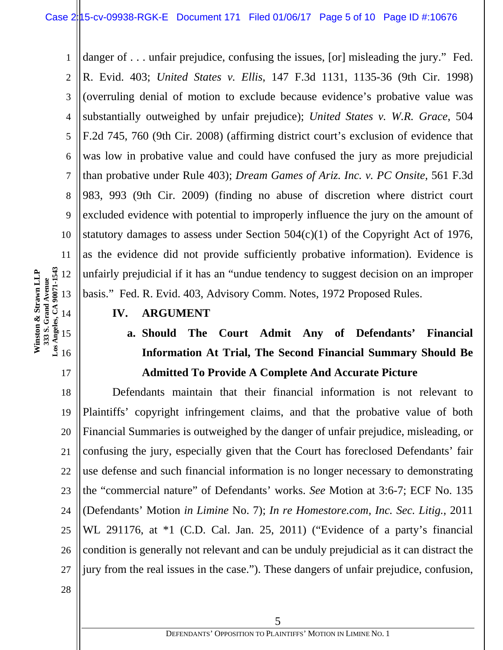1 2 3 4 5 6 7 8 9 10 11 danger of . . . unfair prejudice, confusing the issues, [or] misleading the jury." Fed. R. Evid. 403; *United States v. Ellis*, 147 F.3d 1131, 1135-36 (9th Cir. 1998) (overruling denial of motion to exclude because evidence's probative value was substantially outweighed by unfair prejudice); *United States v. W.R. Grace*, 504 F.2d 745, 760 (9th Cir. 2008) (affirming district court's exclusion of evidence that was low in probative value and could have confused the jury as more prejudicial than probative under Rule 403); *Dream Games of Ariz. Inc. v. PC Onsite*, 561 F.3d 983, 993 (9th Cir. 2009) (finding no abuse of discretion where district court excluded evidence with potential to improperly influence the jury on the amount of statutory damages to assess under Section  $504(c)(1)$  of the Copyright Act of 1976, as the evidence did not provide sufficiently probative information). Evidence is unfairly prejudicial if it has an "undue tendency to suggest decision on an improper basis." Fed. R. Evid. 403, Advisory Comm. Notes, 1972 Proposed Rules.

**IV. ARGUMENT** 

# **a. Should The Court Admit Any of Defendants' Financial Information At Trial, The Second Financial Summary Should Be Admitted To Provide A Complete And Accurate Picture**

18 19 20 21 22 23 24 25 26 27 Defendants maintain that their financial information is not relevant to Plaintiffs' copyright infringement claims, and that the probative value of both Financial Summaries is outweighed by the danger of unfair prejudice, misleading, or confusing the jury, especially given that the Court has foreclosed Defendants' fair use defense and such financial information is no longer necessary to demonstrating the "commercial nature" of Defendants' works. *See* Motion at 3:6-7; ECF No. 135 (Defendants' Motion *in Limine* No. 7); *In re Homestore.com, Inc. Sec. Litig.*, 2011 WL 291176, at \*1 (C.D. Cal. Jan. 25, 2011) ("Evidence of a party's financial condition is generally not relevant and can be unduly prejudicial as it can distract the jury from the real issues in the case."). These dangers of unfair prejudice, confusion,

**Los Angeles, CA 90071-1543 Winston & Strawn LLP**  Winston & Strawn LLP 12 **333 S. Grand Avenue**  13 14 15 16

17

28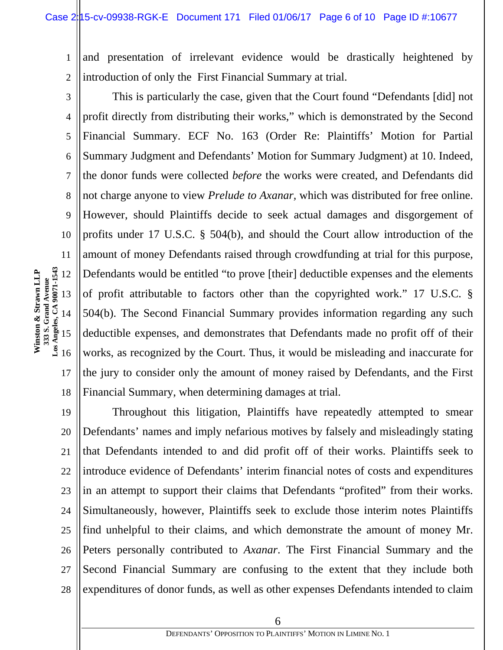1 2 and presentation of irrelevant evidence would be drastically heightened by introduction of only the First Financial Summary at trial.

3 4 5 6 7 8 9 10 11 17 18 This is particularly the case, given that the Court found "Defendants [did] not profit directly from distributing their works," which is demonstrated by the Second Financial Summary. ECF No. 163 (Order Re: Plaintiffs' Motion for Partial Summary Judgment and Defendants' Motion for Summary Judgment) at 10. Indeed, the donor funds were collected *before* the works were created, and Defendants did not charge anyone to view *Prelude to Axanar,* which was distributed for free online. However, should Plaintiffs decide to seek actual damages and disgorgement of profits under 17 U.S.C. § 504(b), and should the Court allow introduction of the amount of money Defendants raised through crowdfunding at trial for this purpose, Defendants would be entitled "to prove [their] deductible expenses and the elements of profit attributable to factors other than the copyrighted work." 17 U.S.C. § 504(b). The Second Financial Summary provides information regarding any such deductible expenses, and demonstrates that Defendants made no profit off of their works, as recognized by the Court. Thus, it would be misleading and inaccurate for the jury to consider only the amount of money raised by Defendants, and the First Financial Summary, when determining damages at trial.

19 20 21 22 23 24 25 26 27 28 Throughout this litigation, Plaintiffs have repeatedly attempted to smear Defendants' names and imply nefarious motives by falsely and misleadingly stating that Defendants intended to and did profit off of their works. Plaintiffs seek to introduce evidence of Defendants' interim financial notes of costs and expenditures in an attempt to support their claims that Defendants "profited" from their works. Simultaneously, however, Plaintiffs seek to exclude those interim notes Plaintiffs find unhelpful to their claims, and which demonstrate the amount of money Mr. Peters personally contributed to *Axanar*. The First Financial Summary and the Second Financial Summary are confusing to the extent that they include both expenditures of donor funds, as well as other expenses Defendants intended to claim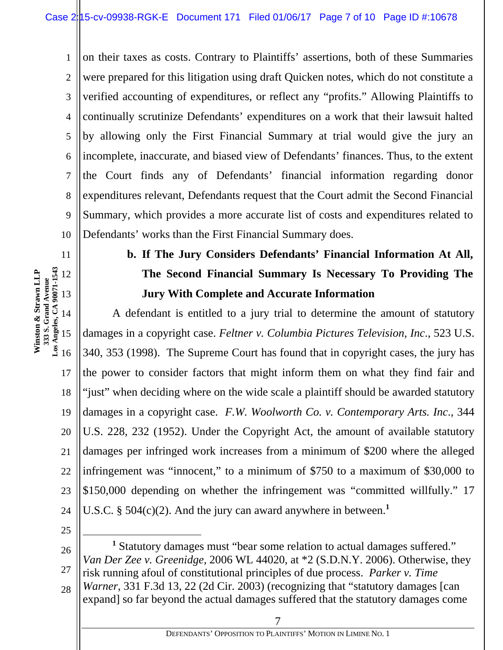1 2 3 4 5 6 7 8 9 10 on their taxes as costs. Contrary to Plaintiffs' assertions, both of these Summaries were prepared for this litigation using draft Quicken notes, which do not constitute a verified accounting of expenditures, or reflect any "profits." Allowing Plaintiffs to continually scrutinize Defendants' expenditures on a work that their lawsuit halted by allowing only the First Financial Summary at trial would give the jury an incomplete, inaccurate, and biased view of Defendants' finances. Thus, to the extent the Court finds any of Defendants' financial information regarding donor expenditures relevant, Defendants request that the Court admit the Second Financial Summary, which provides a more accurate list of costs and expenditures related to Defendants' works than the First Financial Summary does.

#### **Los Angeles, CA 90071-1543 Winston & Strawn LLP**  Winston & Strawn LLP 12 **333 S. Grand Avenue**  13 14 15

11

# **b. If The Jury Considers Defendants' Financial Information At All, The Second Financial Summary Is Necessary To Providing The Jury With Complete and Accurate Information**

16 17 18 19 20 21 22 23 24 A defendant is entitled to a jury trial to determine the amount of statutory damages in a copyright case. *Feltner v. Columbia Pictures Television, Inc*., 523 U.S. 340, 353 (1998). The Supreme Court has found that in copyright cases, the jury has the power to consider factors that might inform them on what they find fair and "just" when deciding where on the wide scale a plaintiff should be awarded statutory damages in a copyright case. *F.W. Woolworth Co. v. Contemporary Arts. Inc*., 344 U.S. 228, 232 (1952). Under the Copyright Act, the amount of available statutory damages per infringed work increases from a minimum of \$200 where the alleged infringement was "innocent," to a minimum of \$750 to a maximum of \$30,000 to \$150,000 depending on whether the infringement was "committed willfully." 17 U.S.C. § 504(c)(2). And the jury can award anywhere in between.**<sup>1</sup>**

25

26 27 28 <u>1</u> <sup>1</sup> Statutory damages must "bear some relation to actual damages suffered." *Van Der Zee v. Greenidge*, 2006 WL 44020, at \*2 (S.D.N.Y. 2006). Otherwise, they risk running afoul of constitutional principles of due process. *Parker v. Time Warner*, 331 F.3d 13, 22 (2d Cir. 2003) (recognizing that "statutory damages [can expand] so far beyond the actual damages suffered that the statutory damages come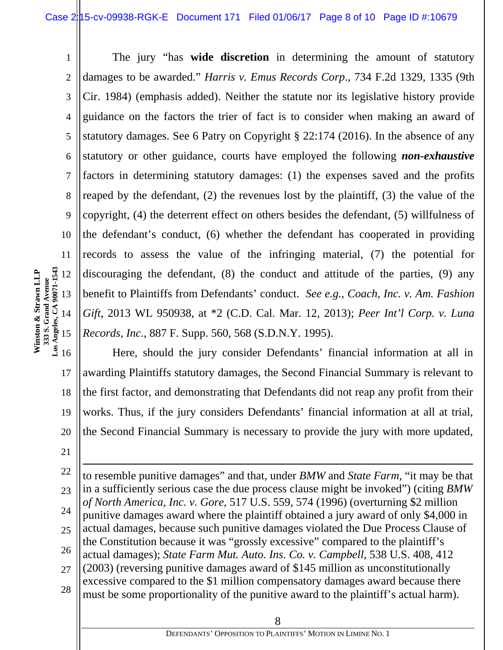1 2 3 4 5 6 7 8 9 10 11 12 13 14 15 The jury "has **wide discretion** in determining the amount of statutory damages to be awarded." *Harris v. Emus Records Corp*., 734 F.2d 1329, 1335 (9th Cir. 1984) (emphasis added). Neither the statute nor its legislative history provide guidance on the factors the trier of fact is to consider when making an award of statutory damages. See 6 Patry on Copyright § 22:174 (2016). In the absence of any statutory or other guidance, courts have employed the following *non-exhaustive* factors in determining statutory damages: (1) the expenses saved and the profits reaped by the defendant, (2) the revenues lost by the plaintiff, (3) the value of the copyright, (4) the deterrent effect on others besides the defendant, (5) willfulness of the defendant's conduct, (6) whether the defendant has cooperated in providing records to assess the value of the infringing material, (7) the potential for discouraging the defendant, (8) the conduct and attitude of the parties, (9) any benefit to Plaintiffs from Defendants' conduct. *See e.g., Coach, Inc. v. Am. Fashion Gift*, 2013 WL 950938, at \*2 (C.D. Cal. Mar. 12, 2013); *Peer Int'l Corp. v. Luna Records, Inc*., 887 F. Supp. 560, 568 (S.D.N.Y. 1995).

16 17 18 19 20 Here, should the jury consider Defendants' financial information at all in awarding Plaintiffs statutory damages, the Second Financial Summary is relevant to the first factor, and demonstrating that Defendants did not reap any profit from their works. Thus, if the jury considers Defendants' financial information at all at trial, the Second Financial Summary is necessary to provide the jury with more updated,

21

l

**Winston & Strawn LLP 333 S. Grand Avenue Los Angeles, CA 90071-1543** 

Winston & Strawn LLP

22 23 24 25 26 27 28 to resemble punitive damages" and that, under *BMW* and *State Farm*, "it may be that in a sufficiently serious case the due process clause might be invoked") (citing *BMW of North America, Inc. v. Gore*, 517 U.S. 559, 574 (1996) (overturning \$2 million punitive damages award where the plaintiff obtained a jury award of only \$4,000 in actual damages, because such punitive damages violated the Due Process Clause of the Constitution because it was "grossly excessive" compared to the plaintiff's actual damages); *State Farm Mut. Auto. Ins. Co. v. Campbell*, 538 U.S. 408, 412 (2003) (reversing punitive damages award of \$145 million as unconstitutionally excessive compared to the \$1 million compensatory damages award because there must be some proportionality of the punitive award to the plaintiff's actual harm).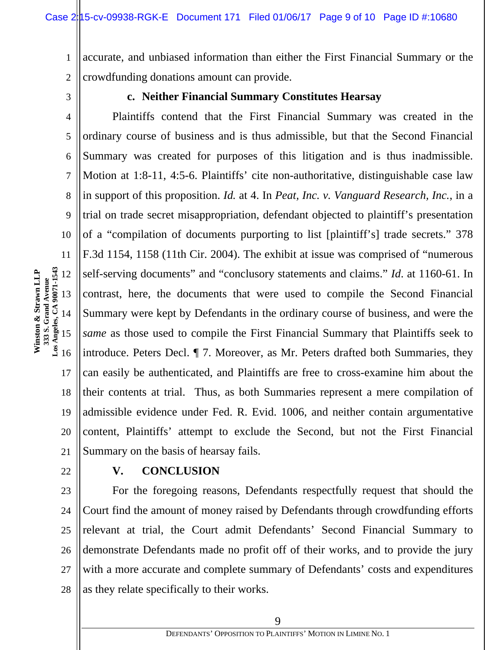1 2 accurate, and unbiased information than either the First Financial Summary or the crowdfunding donations amount can provide.

3

4

5

6

7

8

9

10

11

## **c. Neither Financial Summary Constitutes Hearsay**

Plaintiffs contend that the First Financial Summary was created in the ordinary course of business and is thus admissible, but that the Second Financial Summary was created for purposes of this litigation and is thus inadmissible. Motion at 1:8-11, 4:5-6. Plaintiffs' cite non-authoritative, distinguishable case law in support of this proposition. *Id.* at 4. In *Peat, Inc. v. Vanguard Research, Inc.*, in a trial on trade secret misappropriation, defendant objected to plaintiff's presentation of a "compilation of documents purporting to list [plaintiff's] trade secrets." 378 F.3d 1154, 1158 (11th Cir. 2004). The exhibit at issue was comprised of "numerous self-serving documents" and "conclusory statements and claims." *Id*. at 1160-61. In contrast, here, the documents that were used to compile the Second Financial Summary were kept by Defendants in the ordinary course of business, and were the *same* as those used to compile the First Financial Summary that Plaintiffs seek to introduce. Peters Decl. ¶ 7. Moreover, as Mr. Peters drafted both Summaries, they can easily be authenticated, and Plaintiffs are free to cross-examine him about the their contents at trial. Thus, as both Summaries represent a mere compilation of admissible evidence under Fed. R. Evid. 1006, and neither contain argumentative content, Plaintiffs' attempt to exclude the Second, but not the First Financial Summary on the basis of hearsay fails.

22

17

18

19

20

21

### **V. CONCLUSION**

23 24 25 26 27 28 For the foregoing reasons, Defendants respectfully request that should the Court find the amount of money raised by Defendants through crowdfunding efforts relevant at trial, the Court admit Defendants' Second Financial Summary to demonstrate Defendants made no profit off of their works, and to provide the jury with a more accurate and complete summary of Defendants' costs and expenditures as they relate specifically to their works.